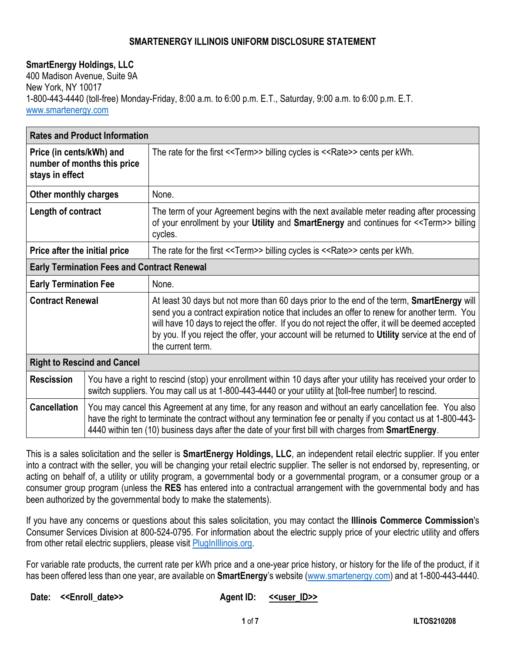## **SMARTENERGY ILLINOIS UNIFORM DISCLOSURE STATEMENT**

## **SmartEnergy Holdings, LLC**

400 Madison Avenue, Suite 9A New York, NY 10017 1-800-443-4440 (toll-free) Monday-Friday, 8:00 a.m. to 6:00 p.m. E.T., Saturday, 9:00 a.m. to 6:00 p.m. E.T. www.smartenergy.com

| <b>Rates and Product Information</b>                                       |                                                                                                                                                                                                                                                                                                                                             |                                                                                                                                                                                                                                                                                                                                                                                                                       |
|----------------------------------------------------------------------------|---------------------------------------------------------------------------------------------------------------------------------------------------------------------------------------------------------------------------------------------------------------------------------------------------------------------------------------------|-----------------------------------------------------------------------------------------------------------------------------------------------------------------------------------------------------------------------------------------------------------------------------------------------------------------------------------------------------------------------------------------------------------------------|
| Price (in cents/kWh) and<br>number of months this price<br>stays in effect |                                                                                                                                                                                                                                                                                                                                             | The rate for the first < <term>&gt; billing cycles is &lt;<rate>&gt; cents per kWh.</rate></term>                                                                                                                                                                                                                                                                                                                     |
| Other monthly charges                                                      |                                                                                                                                                                                                                                                                                                                                             | None.                                                                                                                                                                                                                                                                                                                                                                                                                 |
| Length of contract                                                         |                                                                                                                                                                                                                                                                                                                                             | The term of your Agreement begins with the next available meter reading after processing<br>of your enrollment by your Utility and SmartEnergy and continues for < <term>&gt; billing<br/>cycles.</term>                                                                                                                                                                                                              |
| Price after the initial price                                              |                                                                                                                                                                                                                                                                                                                                             | The rate for the first < <term>&gt; billing cycles is &lt;<rate>&gt; cents per kWh.</rate></term>                                                                                                                                                                                                                                                                                                                     |
| <b>Early Termination Fees and Contract Renewal</b>                         |                                                                                                                                                                                                                                                                                                                                             |                                                                                                                                                                                                                                                                                                                                                                                                                       |
| <b>Early Termination Fee</b>                                               |                                                                                                                                                                                                                                                                                                                                             | None.                                                                                                                                                                                                                                                                                                                                                                                                                 |
| <b>Contract Renewal</b>                                                    |                                                                                                                                                                                                                                                                                                                                             | At least 30 days but not more than 60 days prior to the end of the term, SmartEnergy will<br>send you a contract expiration notice that includes an offer to renew for another term. You<br>will have 10 days to reject the offer. If you do not reject the offer, it will be deemed accepted<br>by you. If you reject the offer, your account will be returned to Utility service at the end of<br>the current term. |
| <b>Right to Rescind and Cancel</b>                                         |                                                                                                                                                                                                                                                                                                                                             |                                                                                                                                                                                                                                                                                                                                                                                                                       |
| <b>Rescission</b>                                                          | You have a right to rescind (stop) your enrollment within 10 days after your utility has received your order to<br>switch suppliers. You may call us at 1-800-443-4440 or your utility at [toll-free number] to rescind.                                                                                                                    |                                                                                                                                                                                                                                                                                                                                                                                                                       |
| <b>Cancellation</b>                                                        | You may cancel this Agreement at any time, for any reason and without an early cancellation fee. You also<br>have the right to terminate the contract without any termination fee or penalty if you contact us at 1-800-443-<br>4440 within ten (10) business days after the date of your first bill with charges from <b>SmartEnergy</b> . |                                                                                                                                                                                                                                                                                                                                                                                                                       |

This is a sales solicitation and the seller is **SmartEnergy Holdings, LLC**, an independent retail electric supplier. If you enter into a contract with the seller, you will be changing your retail electric supplier. The seller is not endorsed by, representing, or acting on behalf of, a utility or utility program, a governmental body or a governmental program, or a consumer group or a consumer group program (unless the **RES** has entered into a contractual arrangement with the governmental body and has been authorized by the governmental body to make the statements).

If you have any concerns or questions about this sales solicitation, you may contact the **Illinois Commerce Commission**'s Consumer Services Division at 800-524-0795. For information about the electric supply price of your electric utility and offers from other retail electric suppliers, please visit PlugInIllinois.org.

For variable rate products, the current rate per kWh price and a one-year price history, or history for the life of the product, if it has been offered less than one year, are available on **SmartEnergy**'s website (www.smartenergy.com) and at 1-800-443-4440.

Date: <<Enroll\_date>> **Agent ID:** <<user\_ID>>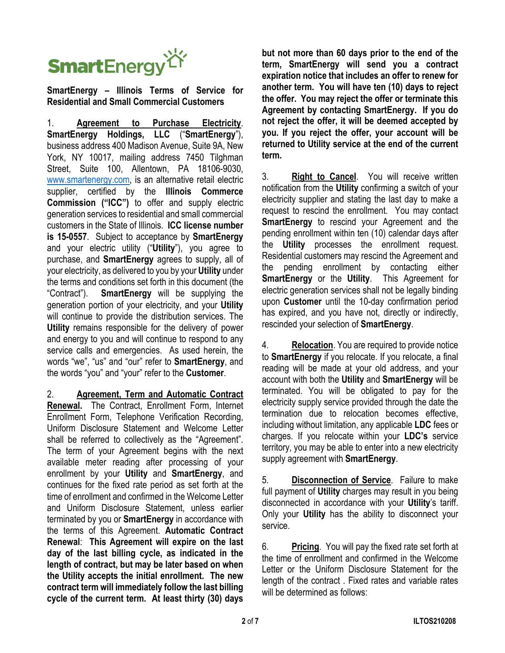

**SmartEnergy – Illinois Terms of Service for Residential and Small Commercial Customers**

1. **Agreement to Purchase Electricity**. **SmartEnergy Holdings, LLC** ("**SmartEnergy**"), business address 400 Madison Avenue, Suite 9A, New York, NY 10017, mailing address 7450 Tilghman Street, Suite 100, Allentown, PA 18106-9030, www.smartenergy.com, is an alternative retail electric supplier, certified by the **Illinois Commerce Commission ("ICC")** to offer and supply electric generation services to residential and small commercial customers in the State of Illinois. **ICC license number is 15-0557**. Subject to acceptance by **SmartEnergy** and your electric utility ("**Utility**"), you agree to purchase, and **SmartEnergy** agrees to supply, all of your electricity, as delivered to you by your **Utility** under the terms and conditions set forth in this document (the "Contract"). **SmartEnergy** will be supplying the generation portion of your electricity, and your **Utility** will continue to provide the distribution services. The **Utility** remains responsible for the delivery of power and energy to you and will continue to respond to any service calls and emergencies. As used herein, the words "we", "us" and "our" refer to **SmartEnergy**, and the words "you" and "your" refer to the **Customer**.

2. **Agreement, Term and Automatic Contract Renewal.** The Contract, Enrollment Form, Internet Enrollment Form, Telephone Verification Recording, Uniform Disclosure Statement and Welcome Letter shall be referred to collectively as the "Agreement". The term of your Agreement begins with the next available meter reading after processing of your enrollment by your **Utility** and **SmartEnergy**, and continues for the fixed rate period as set forth at the time of enrollment and confirmed in the Welcome Letter and Uniform Disclosure Statement, unless earlier terminated by you or **SmartEnergy** in accordance with the terms of this Agreement. **Automatic Contract Renewal**: **This Agreement will expire on the last day of the last billing cycle, as indicated in the length of contract, but may be later based on when the Utility accepts the initial enrollment. The new contract term will immediately follow the last billing cycle of the current term. At least thirty (30) days**  **but not more than 60 days prior to the end of the term, SmartEnergy will send you a contract expiration notice that includes an offer to renew for another term. You will have ten (10) days to reject the offer. You may reject the offer or terminate this Agreement by contacting SmartEnergy. If you do not reject the offer, it will be deemed accepted by you. If you reject the offer, your account will be returned to Utility service at the end of the current term.**

3. **Right to Cancel**. You will receive written notification from the **Utility** confirming a switch of your electricity supplier and stating the last day to make a request to rescind the enrollment. You may contact **SmartEnergy** to rescind your Agreement and the pending enrollment within ten (10) calendar days after the **Utility** processes the enrollment request. Residential customers may rescind the Agreement and the pending enrollment by contacting either **SmartEnergy** or the **Utility**. This Agreement for electric generation services shall not be legally binding upon **Customer** until the 10-day confirmation period has expired, and you have not, directly or indirectly, rescinded your selection of **SmartEnergy**.

4. **Relocation**. You are required to provide notice to **SmartEnergy** if you relocate. If you relocate, a final reading will be made at your old address, and your account with both the **Utility** and **SmartEnergy** will be terminated. You will be obligated to pay for the electricity supply service provided through the date the termination due to relocation becomes effective, including without limitation, any applicable **LDC** fees or charges. If you relocate within your **LDC's** service territory, you may be able to enter into a new electricity supply agreement with **SmartEnergy**.

5. **Disconnection of Service**. Failure to make full payment of **Utility** charges may result in you being disconnected in accordance with your **Utility**'s tariff. Only your **Utility** has the ability to disconnect your service.

6. **Pricing**. You will pay the fixed rate set forth at the time of enrollment and confirmed in the Welcome Letter or the Uniform Disclosure Statement for the length of the contract . Fixed rates and variable rates will be determined as follows: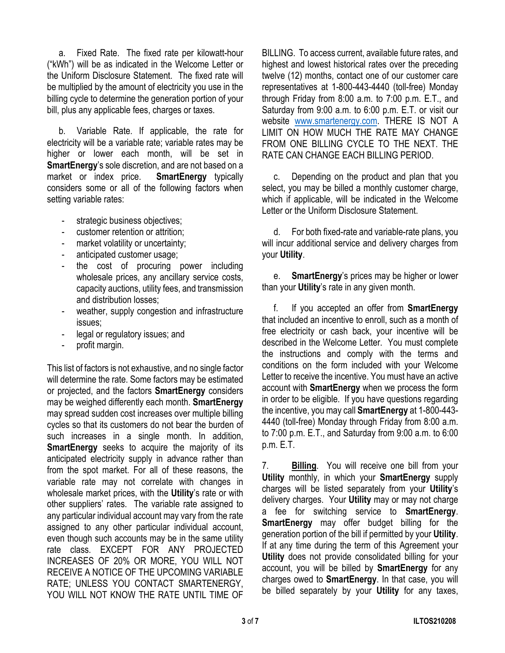a. Fixed Rate. The fixed rate per kilowatt-hour ("kWh") will be as indicated in the Welcome Letter or the Uniform Disclosure Statement. The fixed rate will be multiplied by the amount of electricity you use in the billing cycle to determine the generation portion of your bill, plus any applicable fees, charges or taxes.

b. Variable Rate. If applicable, the rate for electricity will be a variable rate; variable rates may be higher or lower each month, will be set in **SmartEnergy**'s sole discretion, and are not based on a market or index price. **SmartEnergy** typically considers some or all of the following factors when setting variable rates:

- strategic business objectives;
- customer retention or attrition;
- market volatility or uncertainty;
- anticipated customer usage;
- the cost of procuring power including wholesale prices, any ancillary service costs, capacity auctions, utility fees, and transmission and distribution losses;
- weather, supply congestion and infrastructure issues;
- legal or regulatory issues; and
- profit margin.

This list of factors is not exhaustive, and no single factor will determine the rate. Some factors may be estimated or projected, and the factors **SmartEnergy** considers may be weighed differently each month. **SmartEnergy** may spread sudden cost increases over multiple billing cycles so that its customers do not bear the burden of such increases in a single month. In addition, **SmartEnergy** seeks to acquire the majority of its anticipated electricity supply in advance rather than from the spot market. For all of these reasons, the variable rate may not correlate with changes in wholesale market prices, with the **Utility**'s rate or with other suppliers' rates. The variable rate assigned to any particular individual account may vary from the rate assigned to any other particular individual account, even though such accounts may be in the same utility rate class. EXCEPT FOR ANY PROJECTED INCREASES OF 20% OR MORE, YOU WILL NOT RECEIVE A NOTICE OF THE UPCOMING VARIABLE RATE; UNLESS YOU CONTACT SMARTENERGY, YOU WILL NOT KNOW THE RATE UNTIL TIME OF

BILLING. To access current, available future rates, and highest and lowest historical rates over the preceding twelve (12) months, contact one of our customer care representatives at 1-800-443-4440 (toll-free) Monday through Friday from 8:00 a.m. to 7:00 p.m. E.T., and Saturday from 9:00 a.m. to 6:00 p.m. E.T. or visit our website www.smartenergy.com. THERE IS NOT A LIMIT ON HOW MUCH THE RATE MAY CHANGE FROM ONE BILLING CYCLE TO THE NEXT. THE RATE CAN CHANGE EACH BILLING PERIOD.

c. Depending on the product and plan that you select, you may be billed a monthly customer charge, which if applicable, will be indicated in the Welcome Letter or the Uniform Disclosure Statement.

d. For both fixed-rate and variable-rate plans, you will incur additional service and delivery charges from your **Utility**.

e. **SmartEnergy**'s prices may be higher or lower than your **Utility**'s rate in any given month.

f. If you accepted an offer from **SmartEnergy** that included an incentive to enroll, such as a month of free electricity or cash back, your incentive will be described in the Welcome Letter. You must complete the instructions and comply with the terms and conditions on the form included with your Welcome Letter to receive the incentive. You must have an active account with **SmartEnergy** when we process the form in order to be eligible. If you have questions regarding the incentive, you may call **SmartEnergy** at 1-800-443- 4440 (toll-free) Monday through Friday from 8:00 a.m. to 7:00 p.m. E.T., and Saturday from 9:00 a.m. to 6:00 p.m. E.T.

7. **Billing**. You will receive one bill from your **Utility** monthly, in which your **SmartEnergy** supply charges will be listed separately from your **Utility**'s delivery charges. Your **Utility** may or may not charge a fee for switching service to **SmartEnergy**. **SmartEnergy** may offer budget billing for the generation portion of the bill if permitted by your **Utility**. If at any time during the term of this Agreement your **Utility** does not provide consolidated billing for your account, you will be billed by **SmartEnergy** for any charges owed to **SmartEnergy**. In that case, you will be billed separately by your **Utility** for any taxes,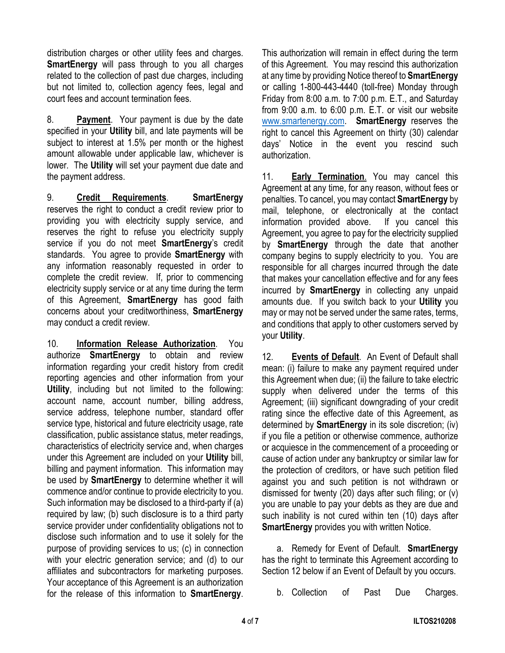distribution charges or other utility fees and charges. **SmartEnergy** will pass through to you all charges related to the collection of past due charges, including but not limited to, collection agency fees, legal and court fees and account termination fees.

8. **Payment**. Your payment is due by the date specified in your **Utility** bill, and late payments will be subject to interest at 1.5% per month or the highest amount allowable under applicable law, whichever is lower. The **Utility** will set your payment due date and the payment address.

9. **Credit Requirements**. **SmartEnergy** reserves the right to conduct a credit review prior to providing you with electricity supply service, and reserves the right to refuse you electricity supply service if you do not meet **SmartEnergy**'s credit standards. You agree to provide **SmartEnergy** with any information reasonably requested in order to complete the credit review. If, prior to commencing electricity supply service or at any time during the term of this Agreement, **SmartEnergy** has good faith concerns about your creditworthiness, **SmartEnergy** may conduct a credit review.

10. **Information Release Authorization**. You authorize **SmartEnergy** to obtain and review information regarding your credit history from credit reporting agencies and other information from your **Utility**, including but not limited to the following: account name, account number, billing address, service address, telephone number, standard offer service type, historical and future electricity usage, rate classification, public assistance status, meter readings, characteristics of electricity service and, when charges under this Agreement are included on your **Utility** bill, billing and payment information. This information may be used by **SmartEnergy** to determine whether it will commence and/or continue to provide electricity to you. Such information may be disclosed to a third-party if (a) required by law; (b) such disclosure is to a third party service provider under confidentiality obligations not to disclose such information and to use it solely for the purpose of providing services to us; (c) in connection with your electric generation service; and (d) to our affiliates and subcontractors for marketing purposes. Your acceptance of this Agreement is an authorization for the release of this information to **SmartEnergy**. This authorization will remain in effect during the term of this Agreement. You may rescind this authorization at any time by providing Notice thereof to **SmartEnergy** or calling 1-800-443-4440 (toll-free) Monday through Friday from 8:00 a.m. to 7:00 p.m. E.T., and Saturday from 9:00 a.m. to 6:00 p.m. E.T. or visit our website www.smartenergy.com. **SmartEnergy** reserves the right to cancel this Agreement on thirty (30) calendar days' Notice in the event you rescind such authorization.

11. **Early Termination**. You may cancel this Agreement at any time, for any reason, without fees or penalties. To cancel, you may contact **SmartEnergy** by mail, telephone, or electronically at the contact information provided above. If you cancel this Agreement, you agree to pay for the electricity supplied by **SmartEnergy** through the date that another company begins to supply electricity to you. You are responsible for all charges incurred through the date that makes your cancellation effective and for any fees incurred by **SmartEnergy** in collecting any unpaid amounts due. If you switch back to your **Utility** you may or may not be served under the same rates, terms, and conditions that apply to other customers served by your **Utility**.

12. **Events of Default**. An Event of Default shall mean: (i) failure to make any payment required under this Agreement when due; (ii) the failure to take electric supply when delivered under the terms of this Agreement; (iii) significant downgrading of your credit rating since the effective date of this Agreement, as determined by **SmartEnergy** in its sole discretion; (iv) if you file a petition or otherwise commence, authorize or acquiesce in the commencement of a proceeding or cause of action under any bankruptcy or similar law for the protection of creditors, or have such petition filed against you and such petition is not withdrawn or dismissed for twenty (20) days after such filing; or (v) you are unable to pay your debts as they are due and such inability is not cured within ten (10) days after **SmartEnergy** provides you with written Notice.

a. Remedy for Event of Default. **SmartEnergy** has the right to terminate this Agreement according to Section 12 below if an Event of Default by you occurs.

b. Collection of Past Due Charges.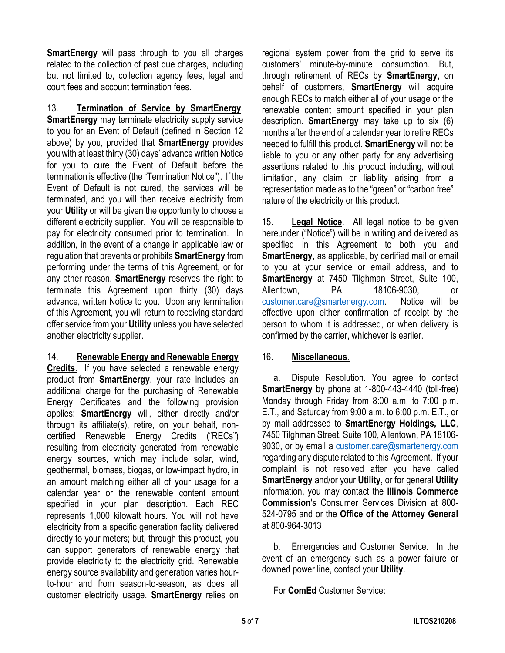**SmartEnergy** will pass through to you all charges related to the collection of past due charges, including but not limited to, collection agency fees, legal and court fees and account termination fees.

13. **Termination of Service by SmartEnergy**. **SmartEnergy** may terminate electricity supply service to you for an Event of Default (defined in Section 12 above) by you, provided that **SmartEnergy** provides you with at least thirty (30) days' advance written Notice for you to cure the Event of Default before the termination is effective (the "Termination Notice"). If the Event of Default is not cured, the services will be terminated, and you will then receive electricity from your **Utility** or will be given the opportunity to choose a different electricity supplier. You will be responsible to pay for electricity consumed prior to termination. In addition, in the event of a change in applicable law or regulation that prevents or prohibits **SmartEnergy** from performing under the terms of this Agreement, or for any other reason, **SmartEnergy** reserves the right to terminate this Agreement upon thirty (30) days advance, written Notice to you. Upon any termination of this Agreement, you will return to receiving standard offer service from your **Utility** unless you have selected another electricity supplier.

## 14. **Renewable Energy and Renewable Energy**

**Credits**. If you have selected a renewable energy product from **SmartEnergy**, your rate includes an additional charge for the purchasing of Renewable Energy Certificates and the following provision applies: **SmartEnergy** will, either directly and/or through its affiliate(s), retire, on your behalf, noncertified Renewable Energy Credits ("RECs") resulting from electricity generated from renewable energy sources, which may include solar, wind, geothermal, biomass, biogas, or low-impact hydro, in an amount matching either all of your usage for a calendar year or the renewable content amount specified in your plan description. Each REC represents 1,000 kilowatt hours. You will not have electricity from a specific generation facility delivered directly to your meters; but, through this product, you can support generators of renewable energy that provide electricity to the electricity grid. Renewable energy source availability and generation varies hourto-hour and from season-to-season, as does all customer electricity usage. **SmartEnergy** relies on regional system power from the grid to serve its customers' minute-by-minute consumption. But, through retirement of RECs by **SmartEnergy**, on behalf of customers, **SmartEnergy** will acquire enough RECs to match either all of your usage or the renewable content amount specified in your plan description. **SmartEnergy** may take up to six (6) months after the end of a calendar year to retire RECs needed to fulfill this product. **SmartEnergy** will not be liable to you or any other party for any advertising assertions related to this product including, without limitation, any claim or liability arising from a representation made as to the "green" or "carbon free" nature of the electricity or this product.

15. **Legal Notice**. All legal notice to be given hereunder ("Notice") will be in writing and delivered as specified in this Agreement to both you and **SmartEnergy**, as applicable, by certified mail or email to you at your service or email address, and to **SmartEnergy** at 7450 Tilghman Street, Suite 100, Allentown, PA 18106-9030, or customer.care@smartenergy.com. Notice will be effective upon either confirmation of receipt by the person to whom it is addressed, or when delivery is confirmed by the carrier, whichever is earlier.

## 16. **Miscellaneous**.

a. Dispute Resolution. You agree to contact **SmartEnergy** by phone at 1-800-443-4440 (toll-free) Monday through Friday from 8:00 a.m. to 7:00 p.m. E.T., and Saturday from 9:00 a.m. to 6:00 p.m. E.T., or by mail addressed to **SmartEnergy Holdings, LLC**, 7450 Tilghman Street, Suite 100, Allentown, PA 18106- 9030, or by email a customer.care@smartenergy.com regarding any dispute related to this Agreement. If your complaint is not resolved after you have called **SmartEnergy** and/or your **Utility**, or for general **Utility** information, you may contact the **Illinois Commerce Commission**'s Consumer Services Division at 800- 524-0795 and or the **Office of the Attorney General** at 800-964-3013

b. Emergencies and Customer Service. In the event of an emergency such as a power failure or downed power line, contact your **Utility**.

For **ComEd** Customer Service: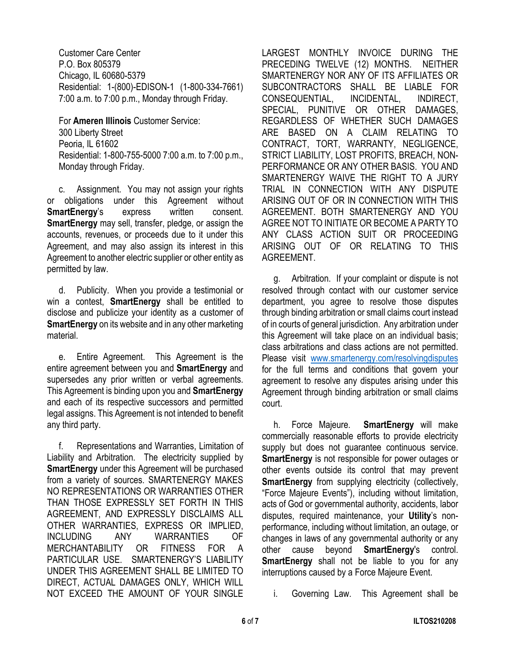Customer Care Center P.O. Box 805379 Chicago, IL 60680-5379 Residential: 1-(800)-EDISON-1 (1-800-334-7661) 7:00 a.m. to 7:00 p.m., Monday through Friday.

For **Ameren Illinois** Customer Service: 300 Liberty Street Peoria, IL 61602 Residential: 1-800-755-5000 7:00 a.m. to 7:00 p.m., Monday through Friday.

c. Assignment. You may not assign your rights or obligations under this Agreement without **SmartEnergy's** express written consent. **SmartEnergy** may sell, transfer, pledge, or assign the accounts, revenues, or proceeds due to it under this Agreement, and may also assign its interest in this Agreement to another electric supplier or other entity as permitted by law.

d. Publicity. When you provide a testimonial or win a contest, **SmartEnergy** shall be entitled to disclose and publicize your identity as a customer of **SmartEnergy** on its website and in any other marketing material.

e. Entire Agreement. This Agreement is the entire agreement between you and **SmartEnergy** and supersedes any prior written or verbal agreements. This Agreement is binding upon you and **SmartEnergy** and each of its respective successors and permitted legal assigns. This Agreement is not intended to benefit any third party.

f. Representations and Warranties, Limitation of Liability and Arbitration. The electricity supplied by **SmartEnergy** under this Agreement will be purchased from a variety of sources. SMARTENERGY MAKES NO REPRESENTATIONS OR WARRANTIES OTHER THAN THOSE EXPRESSLY SET FORTH IN THIS AGREEMENT, AND EXPRESSLY DISCLAIMS ALL OTHER WARRANTIES, EXPRESS OR IMPLIED, INCLUDING ANY WARRANTIES OF MERCHANTABILITY OR FITNESS FOR A PARTICULAR USE. SMARTENERGY'S LIABILITY UNDER THIS AGREEMENT SHALL BE LIMITED TO DIRECT, ACTUAL DAMAGES ONLY, WHICH WILL NOT EXCEED THE AMOUNT OF YOUR SINGLE LARGEST MONTHLY INVOICE DURING THE PRECEDING TWELVE (12) MONTHS. NEITHER SMARTENERGY NOR ANY OF ITS AFFILIATES OR SUBCONTRACTORS SHALL BE LIABLE FOR CONSEQUENTIAL, INCIDENTAL, INDIRECT, SPECIAL, PUNITIVE OR OTHER DAMAGES, REGARDLESS OF WHETHER SUCH DAMAGES ARE BASED ON A CLAIM RELATING TO CONTRACT, TORT, WARRANTY, NEGLIGENCE, STRICT LIABILITY, LOST PROFITS, BREACH, NON-PERFORMANCE OR ANY OTHER BASIS. YOU AND SMARTENERGY WAIVE THE RIGHT TO A JURY TRIAL IN CONNECTION WITH ANY DISPUTE ARISING OUT OF OR IN CONNECTION WITH THIS AGREEMENT. BOTH SMARTENERGY AND YOU AGREE NOT TO INITIATE OR BECOME A PARTY TO ANY CLASS ACTION SUIT OR PROCEEDING ARISING OUT OF OR RELATING TO THIS AGREEMENT.

g. Arbitration. If your complaint or dispute is not resolved through contact with our customer service department, you agree to resolve those disputes through binding arbitration or small claims court instead of in courts of general jurisdiction. Any arbitration under this Agreement will take place on an individual basis; class arbitrations and class actions are not permitted. Please visit www.smartenergy.com/resolvingdisputes for the full terms and conditions that govern your agreement to resolve any disputes arising under this Agreement through binding arbitration or small claims court.

h. Force Majeure. **SmartEnergy** will make commercially reasonable efforts to provide electricity supply but does not guarantee continuous service. **SmartEnergy** is not responsible for power outages or other events outside its control that may prevent **SmartEnergy** from supplying electricity (collectively, "Force Majeure Events"), including without limitation, acts of God or governmental authority, accidents, labor disputes, required maintenance, your **Utility**'s nonperformance, including without limitation, an outage, or changes in laws of any governmental authority or any other cause beyond **SmartEnergy**'s control. **SmartEnergy** shall not be liable to you for any interruptions caused by a Force Majeure Event.

i. Governing Law. This Agreement shall be